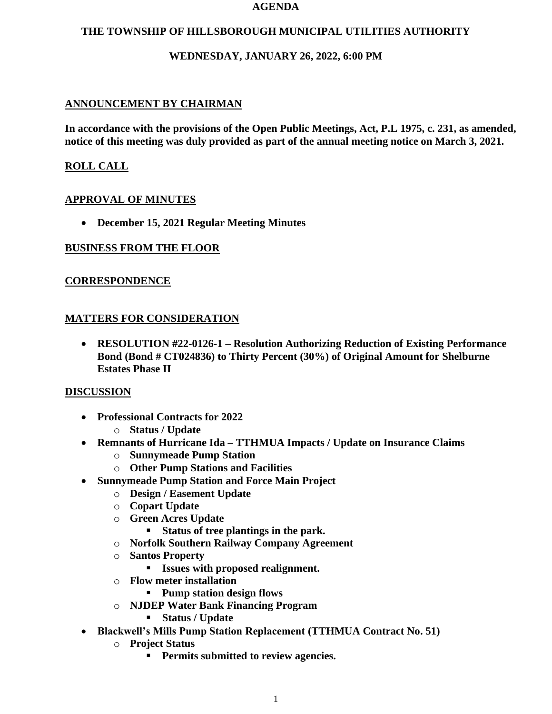#### **AGENDA**

### **THE TOWNSHIP OF HILLSBOROUGH MUNICIPAL UTILITIES AUTHORITY**

## **WEDNESDAY, JANUARY 26, 2022, 6:00 PM**

# **ANNOUNCEMENT BY CHAIRMAN**

**In accordance with the provisions of the Open Public Meetings, Act, P.L 1975, c. 231, as amended, notice of this meeting was duly provided as part of the annual meeting notice on March 3, 2021.**

# **ROLL CALL**

## **APPROVAL OF MINUTES**

• **December 15, 2021 Regular Meeting Minutes**

### **BUSINESS FROM THE FLOOR**

### **CORRESPONDENCE**

### **MATTERS FOR CONSIDERATION**

• **RESOLUTION #22-0126-1 – Resolution Authorizing Reduction of Existing Performance Bond (Bond # CT024836) to Thirty Percent (30%) of Original Amount for Shelburne Estates Phase II**

#### **DISCUSSION**

- **Professional Contracts for 2022**
	- o **Status / Update**
- **Remnants of Hurricane Ida – TTHMUA Impacts / Update on Insurance Claims**
	- o **Sunnymeade Pump Station**
	- o **Other Pump Stations and Facilities**
- **Sunnymeade Pump Station and Force Main Project**
	- o **Design / Easement Update**
	- o **Copart Update**
	- o **Green Acres Update**
		- **Status of tree plantings in the park.**
	- o **Norfolk Southern Railway Company Agreement**
	- o **Santos Property**
		- **Issues with proposed realignment.**
	- o **Flow meter installation**
		- **Pump station design flows**
	- o **NJDEP Water Bank Financing Program**
		- **Status / Update**
- **Blackwell's Mills Pump Station Replacement (TTHMUA Contract No. 51)**
	- o **Project Status**
		- **Permits submitted to review agencies.**